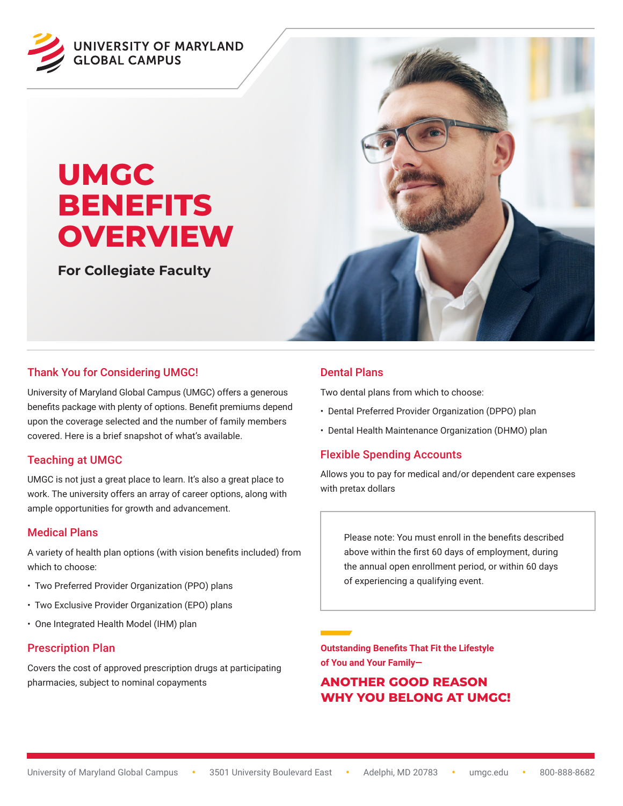

# **UMGC BENEFITS OVERVIEW**

**For Collegiate Faculty**



## Thank You for Considering UMGC!

University of Maryland Global Campus (UMGC) offers a generous benefits package with plenty of options. Benefit premiums depend upon the coverage selected and the number of family members covered. Here is a brief snapshot of what's available.

## Teaching at UMGC

UMGC is not just a great place to learn. It's also a great place to work. The university offers an array of career options, along with ample opportunities for growth and advancement.

## Medical Plans

A variety of health plan options (with vision benefits included) from which to choose:

- Two Preferred Provider Organization (PPO) plans
- Two Exclusive Provider Organization (EPO) plans
- One Integrated Health Model (IHM) plan

#### Prescription Plan

Covers the cost of approved prescription drugs at participating pharmacies, subject to nominal copayments

## Dental Plans

Two dental plans from which to choose:

- Dental Preferred Provider Organization (DPPO) plan
- Dental Health Maintenance Organization (DHMO) plan

#### Flexible Spending Accounts

Allows you to pay for medical and/or dependent care expenses with pretax dollars

Please note: You must enroll in the benefits described above within the first 60 days of employment, during the annual open enrollment period, or within 60 days of experiencing a qualifying event.

**Outstanding Benefits That Fit the Lifestyle of You and Your Family—**

## **ANOTHER GOOD REASON WHY YOU BELONG AT UMGC!**